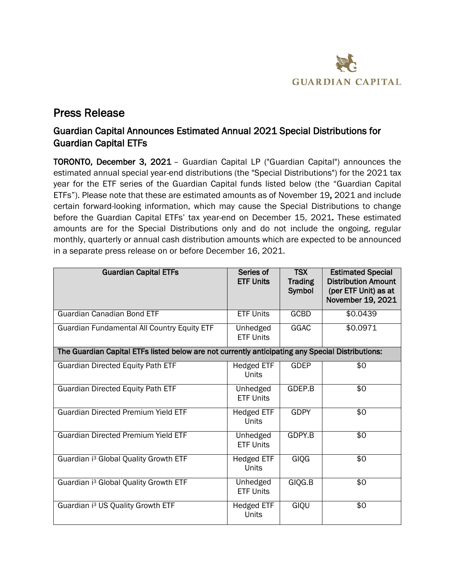

# Press Release

## Guardian Capital Announces Estimated Annual 2021 Special Distributions for Guardian Capital ETFs

TORONTO, December 3, 2021 – Guardian Capital LP ("Guardian Capital") announces the estimated annual special year-end distributions (the "Special Distributions") for the 2021 tax year for the ETF series of the Guardian Capital funds listed below (the "Guardian Capital ETFs"). Please note that these are estimated amounts as of November 19, 2021 and include certain forward-looking information, which may cause the Special Distributions to change before the Guardian Capital ETFs' tax year-end on December 15, 2021. These estimated amounts are for the Special Distributions only and do not include the ongoing, regular monthly, quarterly or annual cash distribution amounts which are expected to be announced in a separate press release on or before December 16, 2021.

| <b>Guardian Capital ETFs</b>                                                                     | Series of<br><b>ETF Units</b>     | <b>TSX</b><br><b>Trading</b><br>Symbol | <b>Estimated Special</b><br><b>Distribution Amount</b><br>(per ETF Unit) as at<br>November 19, 2021 |  |
|--------------------------------------------------------------------------------------------------|-----------------------------------|----------------------------------------|-----------------------------------------------------------------------------------------------------|--|
| <b>Guardian Canadian Bond ETF</b>                                                                | <b>ETF Units</b>                  | <b>GCBD</b>                            | \$0.0439                                                                                            |  |
| <b>Guardian Fundamental All Country Equity ETF</b>                                               | Unhedged<br><b>ETF Units</b>      | <b>GGAC</b>                            | \$0.0971                                                                                            |  |
| The Guardian Capital ETFs listed below are not currently anticipating any Special Distributions: |                                   |                                        |                                                                                                     |  |
| <b>Guardian Directed Equity Path ETF</b>                                                         | <b>Hedged ETF</b><br><b>Units</b> | <b>GDEP</b>                            | \$0                                                                                                 |  |
| <b>Guardian Directed Equity Path ETF</b>                                                         | Unhedged<br><b>ETF Units</b>      | GDEP.B                                 | \$0                                                                                                 |  |
| <b>Guardian Directed Premium Yield ETF</b>                                                       | Hedged ETF<br>Units               | <b>GDPY</b>                            | \$0                                                                                                 |  |
| <b>Guardian Directed Premium Yield ETF</b>                                                       | Unhedged<br><b>ETF Units</b>      | GDPY.B                                 | \$0                                                                                                 |  |
| Guardian i <sup>3</sup> Global Quality Growth ETF                                                | <b>Hedged ETF</b><br>Units        | <b>GIQG</b>                            | $\overline{50}$                                                                                     |  |
| Guardian i <sup>3</sup> Global Quality Growth ETF                                                | Unhedged<br><b>ETF Units</b>      | GIQG.B                                 | \$0                                                                                                 |  |
| Guardian i <sup>3</sup> US Quality Growth ETF                                                    | Hedged ETF<br>Units               | GIQU                                   | \$0                                                                                                 |  |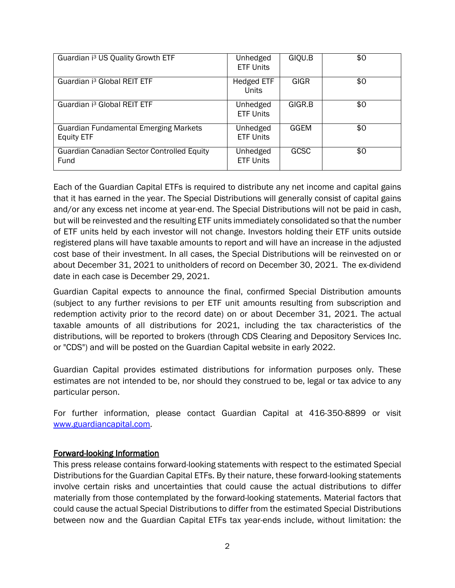| Guardian i <sup>3</sup> US Quality Growth ETF                     | Unhedged<br><b>ETF Units</b>      | GIQU.B      | \$0 |
|-------------------------------------------------------------------|-----------------------------------|-------------|-----|
| Guardian i <sup>3</sup> Global REIT ETF                           | <b>Hedged ETF</b><br><b>Units</b> | <b>GIGR</b> | \$0 |
| Guardian i <sup>3</sup> Global REIT ETF                           | Unhedged<br><b>ETF Units</b>      | GIGR.B      | \$0 |
| <b>Guardian Fundamental Emerging Markets</b><br><b>Equity ETF</b> | Unhedged<br><b>ETF Units</b>      | GGEM        | \$0 |
| <b>Guardian Canadian Sector Controlled Equity</b><br>Fund         | Unhedged<br><b>ETF Units</b>      | <b>GCSC</b> | \$0 |

Each of the Guardian Capital ETFs is required to distribute any net income and capital gains that it has earned in the year. The Special Distributions will generally consist of capital gains and/or any excess net income at year-end. The Special Distributions will not be paid in cash, but will be reinvested and the resulting ETF units immediately consolidated so that the number of ETF units held by each investor will not change. Investors holding their ETF units outside registered plans will have taxable amounts to report and will have an increase in the adjusted cost base of their investment. In all cases, the Special Distributions will be reinvested on or about December 31, 2021 to unitholders of record on December 30, 2021. The ex-dividend date in each case is December 29, 2021.

Guardian Capital expects to announce the final, confirmed Special Distribution amounts (subject to any further revisions to per ETF unit amounts resulting from subscription and redemption activity prior to the record date) on or about December 31, 2021. The actual taxable amounts of all distributions for 2021, including the tax characteristics of the distributions, will be reported to brokers (through CDS Clearing and Depository Services Inc. or "CDS") and will be posted on the Guardian Capital website in early 2022.

Guardian Capital provides estimated distributions for information purposes only. These estimates are not intended to be, nor should they construed to be, legal or tax advice to any particular person.

For further information, please contact Guardian Capital at 416-350-8899 or visit [www.guardiancapital.com](http://www.guardiancapital.com).

### Forward-looking Information

This press release contains forward-looking statements with respect to the estimated Special Distributions for the Guardian Capital ETFs. By their nature, these forward-looking statements involve certain risks and uncertainties that could cause the actual distributions to differ materially from those contemplated by the forward-looking statements. Material factors that could cause the actual Special Distributions to differ from the estimated Special Distributions between now and the Guardian Capital ETFs tax year-ends include, without limitation: the